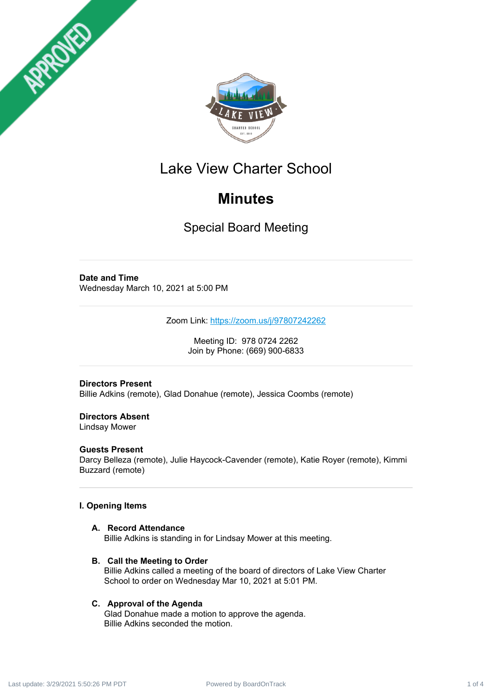



# Lake View Charter School

# **Minutes**

Special Board Meeting

# **Date and Time**

Wednesday March 10, 2021 at 5:00 PM

Zoom Link: <https://zoom.us/j/97807242262>

Meeting ID: 978 0724 2262 Join by Phone: (669) 900-6833

# **Directors Present**

Billie Adkins (remote), Glad Donahue (remote), Jessica Coombs (remote)

# **Directors Absent**

Lindsay Mower

# **Guests Present**

Darcy Belleza (remote), Julie Haycock-Cavender (remote), Katie Royer (remote), Kimmi Buzzard (remote)

# **I. Opening Items**

# **A. Record Attendance**

Billie Adkins is standing in for Lindsay Mower at this meeting.

# **B. Call the Meeting to Order**

Billie Adkins called a meeting of the board of directors of Lake View Charter School to order on Wednesday Mar 10, 2021 at 5:01 PM.

# **C. Approval of the Agenda**

Glad Donahue made a motion to approve the agenda. Billie Adkins seconded the motion.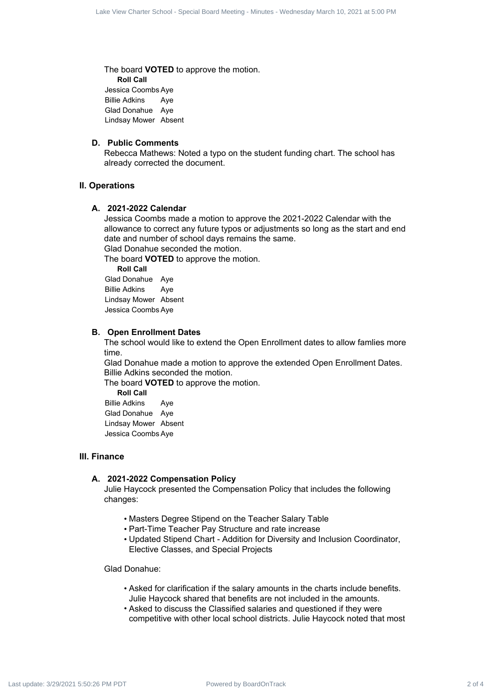The board **VOTED** to approve the motion. **Roll Call** Jessica Coombs Aye Billie Adkins Aye Glad Donahue Aye Lindsay Mower Absent

#### **D. Public Comments**

Rebecca Mathews: Noted a typo on the student funding chart. The school has already corrected the document.

# **II. Operations**

#### **A. 2021-2022 Calendar**

Jessica Coombs made a motion to approve the 2021-2022 Calendar with the allowance to correct any future typos or adjustments so long as the start and end date and number of school days remains the same. For 2 of 4 Care Charter 3 of 4 Lake View Charter 3 of 4 Lake View Charter 3 And 2 of 4 Lake Charter 3 And 2 of 4 Lake Charter 3 And 2 of 4 Lake View Charter 3 And 2 of 4 Lake View Charter 3 of 4 Lake View Charter 3 And 2

Glad Donahue seconded the motion.

The board **VOTED** to approve the motion.

**Roll Call** Glad Donahue Aye Billie Adkins Aye Lindsay Mower Absent Jessica Coombs Aye

#### **B. Open Enrollment Dates**

The school would like to extend the Open Enrollment dates to allow famlies more time.

Glad Donahue made a motion to approve the extended Open Enrollment Dates. Billie Adkins seconded the motion.

The board **VOTED** to approve the motion.

**Roll Call** Billie Adkins Aye Glad Donahue Aye Lindsay Mower Absent Jessica Coombs Aye

# **III. Finance**

#### **A. 2021-2022 Compensation Policy**

Julie Haycock presented the Compensation Policy that includes the following changes:

- Masters Degree Stipend on the Teacher Salary Table
- Part-Time Teacher Pay Structure and rate increase
- Updated Stipend Chart Addition for Diversity and Inclusion Coordinator, Elective Classes, and Special Projects

Glad Donahue:

- Asked for clarification if the salary amounts in the charts include benefits. Julie Haycock shared that benefits are not included in the amounts.
- Asked to discuss the Classified salaries and questioned if they were competitive with other local school districts. Julie Haycock noted that most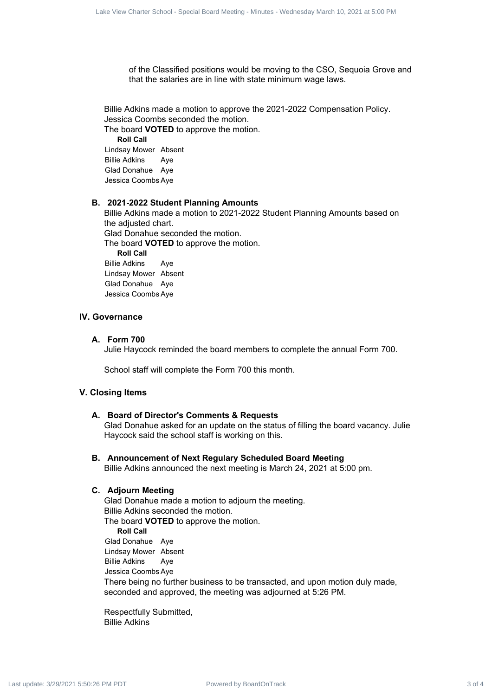of the Classified positions would be moving to the CSO, Sequoia Grove and that the salaries are in line with state minimum wage laws.

Billie Adkins made a motion to approve the 2021-2022 Compensation Policy. Jessica Coombs seconded the motion.

The board **VOTED** to approve the motion. **Roll Call** Lindsay Mower Absent Billie Adkins Aye Glad Donahue Aye Jessica Coombs Aye

## **B. 2021-2022 Student Planning Amounts**

Billie Adkins made a motion to 2021-2022 Student Planning Amounts based on the adjusted chart. Glad Donahue seconded the motion. The board **VOTED** to approve the motion. **Roll Call** Billie Adkins Aye Lindsay Mower Absent Glad Donahue Aye Jessica Coombs Aye External distinguish 3 of 4 Care Board Meeting 3 Alaco - Wednesday March 2 Care Charter School - Special Board - Special Board Meeting - Minutes - Wednesday March 10, 2022 at 5:00 PM Last update: 3/2022 Care procedure Scho

# **IV. Governance**

# **A. Form 700**

Julie Haycock reminded the board members to complete the annual Form 700.

School staff will complete the Form 700 this month.

## **V. Closing Items**

## **A. Board of Director's Comments & Requests**

Glad Donahue asked for an update on the status of filling the board vacancy. Julie Haycock said the school staff is working on this.

## **B. Announcement of Next Regulary Scheduled Board Meeting**

Billie Adkins announced the next meeting is March 24, 2021 at 5:00 pm.

#### **C. Adjourn Meeting**

Glad Donahue made a motion to adjourn the meeting. Billie Adkins seconded the motion. The board **VOTED** to approve the motion. **Roll Call** Glad Donahue Aye Lindsay Mower Absent Billie Adkins Aye Jessica Coombs Aye

There being no further business to be transacted, and upon motion duly made, seconded and approved, the meeting was adjourned at 5:26 PM.

Respectfully Submitted, Billie Adkins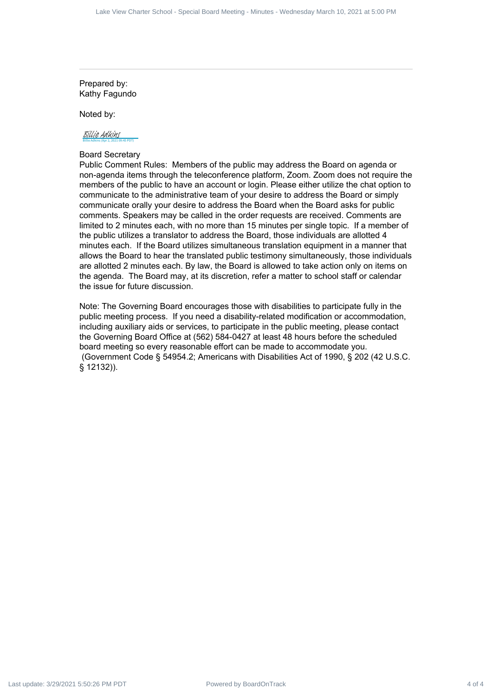Prepared by: Kathy Fagundo

Noted by:

#### Billie Adkins (Apr 2, 2021 09:45 PDT) [Billie Adkins](https://na1.documents.adobe.com/verifier?tx=CBJCHBCAABAAT2KZ6YvPE2ywTG0H610H6wmruN5f7jgZ)

# Board Secretary

Public Comment Rules: Members of the public may address the Board on agenda or non-agenda items through the teleconference platform, Zoom. Zoom does not require the members of the public to have an account or login. Please either utilize the chat option to communicate to the administrative team of your desire to address the Board or simply communicate orally your desire to address the Board when the Board asks for public comments. Speakers may be called in the order requests are received. Comments are limited to 2 minutes each, with no more than 15 minutes per single topic. If a member of the public utilizes a translator to address the Board, those individuals are allotted 4 minutes each. If the Board utilizes simultaneous translation equipment in a manner that allows the Board to hear the translated public testimony simultaneously, those individuals are allotted 2 minutes each. By law, the Board is allowed to take action only on items on the agenda. The Board may, at its discretion, refer a matter to school staff or calendar the issue for future discussion. Last view Cool and the Republic A of 4 of 4 of 4 of 4 Carter School - Special Board Meeting - Minutes and the Charter School - Special Board Meeting - Minutes - Wednesday March 10, 2021 at 5:00 PM Last update:  $\frac{1}{2}$  a

Note: The Governing Board encourages those with disabilities to participate fully in the public meeting process. If you need a disability-related modification or accommodation, including auxiliary aids or services, to participate in the public meeting, please contact the Governing Board Office at (562) 584-0427 at least 48 hours before the scheduled board meeting so every reasonable effort can be made to accommodate you. (Government Code § 54954.2; Americans with Disabilities Act of 1990, § 202 (42 U.S.C. § 12132)).